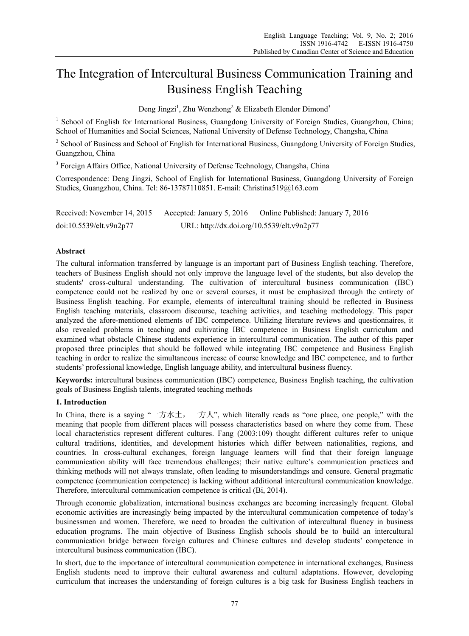# The Integration of Intercultural Business Communication Training and Business English Teaching

Deng Jingzi<sup>1</sup>, Zhu Wenzhong<sup>2</sup> & Elizabeth Elendor Dimond<sup>3</sup>

<sup>1</sup> School of English for International Business, Guangdong University of Foreign Studies, Guangzhou, China; School of Humanities and Social Sciences, National University of Defense Technology, Changsha, China

<sup>2</sup> School of Business and School of English for International Business, Guangdong University of Foreign Studies, Guangzhou, China

<sup>3</sup> Foreign Affairs Office, National University of Defense Technology, Changsha, China

Correspondence: Deng Jingzi, School of English for International Business, Guangdong University of Foreign Studies, Guangzhou, China. Tel: 86-13787110851. E-mail: Christina519@163.com

Received: November 14, 2015 Accepted: January 5, 2016 Online Published: January 7, 2016 doi:10.5539/elt.v9n2p77 URL: http://dx.doi.org/10.5539/elt.v9n2p77

# **Abstract**

The cultural information transferred by language is an important part of Business English teaching. Therefore, teachers of Business English should not only improve the language level of the students, but also develop the students' cross-cultural understanding. The cultivation of intercultural business communication (IBC) competence could not be realized by one or several courses, it must be emphasized through the entirety of Business English teaching. For example, elements of intercultural training should be reflected in Business English teaching materials, classroom discourse, teaching activities, and teaching methodology. This paper analyzed the afore-mentioned elements of IBC competence. Utilizing literature reviews and questionnaires, it also revealed problems in teaching and cultivating IBC competence in Business English curriculum and examined what obstacle Chinese students experience in intercultural communication. The author of this paper proposed three principles that should be followed while integrating IBC competence and Business English teaching in order to realize the simultaneous increase of course knowledge and IBC competence, and to further students' professional knowledge, English language ability, and intercultural business fluency.

**Keywords:** intercultural business communication (IBC) competence, Business English teaching, the cultivation goals of Business English talents, integrated teaching methods

# **1. Introduction**

In China, there is a saying "一方水土,一方人", which literally reads as "one place, one people," with the meaning that people from different places will possess characteristics based on where they come from. These local characteristics represent different cultures. Fang (2003:109) thought different cultures refer to unique cultural traditions, identities, and development histories which differ between nationalities, regions, and countries. In cross-cultural exchanges, foreign language learners will find that their foreign language communication ability will face tremendous challenges; their native culture's communication practices and thinking methods will not always translate, often leading to misunderstandings and censure. General pragmatic competence (communication competence) is lacking without additional intercultural communication knowledge. Therefore, intercultural communication competence is critical (Bi, 2014).

Through economic globalization, international business exchanges are becoming increasingly frequent. Global economic activities are increasingly being impacted by the intercultural communication competence of today's businessmen and women. Therefore, we need to broaden the cultivation of intercultural fluency in business education programs. The main objective of Business English schools should be to build an intercultural communication bridge between foreign cultures and Chinese cultures and develop students' competence in intercultural business communication (IBC).

In short, due to the importance of intercultural communication competence in international exchanges, Business English students need to improve their cultural awareness and cultural adaptations. However, developing curriculum that increases the understanding of foreign cultures is a big task for Business English teachers in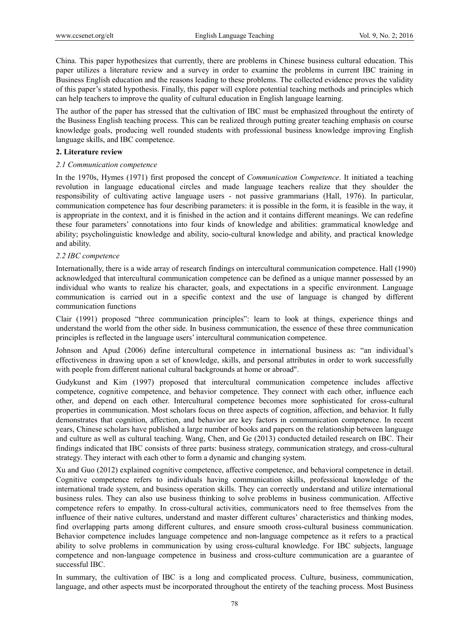China. This paper hypothesizes that currently, there are problems in Chinese business cultural education. This paper utilizes a literature review and a survey in order to examine the problems in current IBC training in Business English education and the reasons leading to these problems. The collected evidence proves the validity of this paper's stated hypothesis. Finally, this paper will explore potential teaching methods and principles which can help teachers to improve the quality of cultural education in English language learning.

The author of the paper has stressed that the cultivation of IBC must be emphasized throughout the entirety of the Business English teaching process. This can be realized through putting greater teaching emphasis on course knowledge goals, producing well rounded students with professional business knowledge improving English language skills, and IBC competence.

## **2. Literature review**

## *2.1 Communication competence*

In the 1970s, Hymes (1971) first proposed the concept of *Communication Competence*. It initiated a teaching revolution in language educational circles and made language teachers realize that they shoulder the responsibility of cultivating active language users - not passive grammarians (Hall, 1976). In particular, communication competence has four describing parameters: it is possible in the form, it is feasible in the way, it is appropriate in the context, and it is finished in the action and it contains different meanings. We can redefine these four parameters' connotations into four kinds of knowledge and abilities: grammatical knowledge and ability; psycholinguistic knowledge and ability, socio-cultural knowledge and ability, and practical knowledge and ability.

## *2.2 IBC competence*

Internationally, there is a wide array of research findings on intercultural communication competence. Hall (1990) acknowledged that intercultural communication competence can be defined as a unique manner possessed by an individual who wants to realize his character, goals, and expectations in a specific environment. Language communication is carried out in a specific context and the use of language is changed by different communication functions

Clair (1991) proposed "three communication principles": learn to look at things, experience things and understand the world from the other side. In business communication, the essence of these three communication principles is reflected in the language users' intercultural communication competence.

Johnson and Apud (2006) define intercultural competence in international business as: "an individual's effectiveness in drawing upon a set of knowledge, skills, and personal attributes in order to work successfully with people from different national cultural backgrounds at home or abroad".

Gudykunst and Kim (1997) proposed that intercultural communication competence includes affective competence, cognitive competence, and behavior competence. They connect with each other, influence each other, and depend on each other. Intercultural competence becomes more sophisticated for cross-cultural properties in communication. Most scholars focus on three aspects of cognition, affection, and behavior. It fully demonstrates that cognition, affection, and behavior are key factors in communication competence. In recent years, Chinese scholars have published a large number of books and papers on the relationship between language and culture as well as cultural teaching. Wang, Chen, and Ge (2013) conducted detailed research on IBC. Their findings indicated that IBC consists of three parts: business strategy, communication strategy, and cross-cultural strategy. They interact with each other to form a dynamic and changing system.

Xu and Guo (2012) explained cognitive competence, affective competence, and behavioral competence in detail. Cognitive competence refers to individuals having communication skills, professional knowledge of the international trade system, and business operation skills. They can correctly understand and utilize international business rules. They can also use business thinking to solve problems in business communication. Affective competence refers to empathy. In cross-cultural activities, communicators need to free themselves from the influence of their native cultures, understand and master different cultures' characteristics and thinking modes, find overlapping parts among different cultures, and ensure smooth cross-cultural business communication. Behavior competence includes language competence and non-language competence as it refers to a practical ability to solve problems in communication by using cross-cultural knowledge. For IBC subjects, language competence and non-language competence in business and cross-culture communication are a guarantee of successful IBC.

In summary, the cultivation of IBC is a long and complicated process. Culture, business, communication, language, and other aspects must be incorporated throughout the entirety of the teaching process. Most Business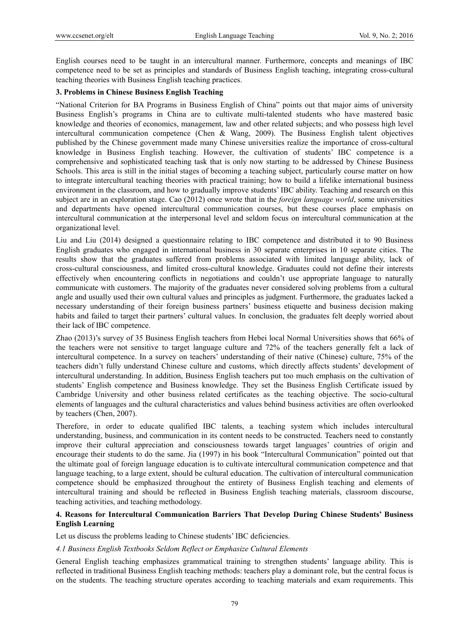English courses need to be taught in an intercultural manner. Furthermore, concepts and meanings of IBC competence need to be set as principles and standards of Business English teaching, integrating cross-cultural teaching theories with Business English teaching practices.

# **3. Problems in Chinese Business English Teaching**

"National Criterion for BA Programs in Business English of China" points out that major aims of university Business English's programs in China are to cultivate multi-talented students who have mastered basic knowledge and theories of economics, management, law and other related subjects; and who possess high level intercultural communication competence (Chen & Wang, 2009). The Business English talent objectives published by the Chinese government made many Chinese universities realize the importance of cross-cultural knowledge in Business English teaching. However, the cultivation of students' IBC competence is a comprehensive and sophisticated teaching task that is only now starting to be addressed by Chinese Business Schools. This area is still in the initial stages of becoming a teaching subject, particularly course matter on how to integrate intercultural teaching theories with practical training; how to build a lifelike international business environment in the classroom, and how to gradually improve students' IBC ability. Teaching and research on this subject are in an exploration stage. Cao (2012) once wrote that in the *foreign language world*, some universities and departments have opened intercultural communication courses, but these courses place emphasis on intercultural communication at the interpersonal level and seldom focus on intercultural communication at the organizational level.

Liu and Liu (2014) designed a questionnaire relating to IBC competence and distributed it to 90 Business English graduates who engaged in international business in 30 separate enterprises in 10 separate cities. The results show that the graduates suffered from problems associated with limited language ability, lack of cross-cultural consciousness, and limited cross-cultural knowledge. Graduates could not define their interests effectively when encountering conflicts in negotiations and couldn't use appropriate language to naturally communicate with customers. The majority of the graduates never considered solving problems from a cultural angle and usually used their own cultural values and principles as judgment. Furthermore, the graduates lacked a necessary understanding of their foreign business partners' business etiquette and business decision making habits and failed to target their partners' cultural values. In conclusion, the graduates felt deeply worried about their lack of IBC competence.

Zhao (2013)'s survey of 35 Business English teachers from Hebei local Normal Universities shows that 66% of the teachers were not sensitive to target language culture and 72% of the teachers generally felt a lack of intercultural competence. In a survey on teachers' understanding of their native (Chinese) culture, 75% of the teachers didn't fully understand Chinese culture and customs, which directly affects students' development of intercultural understanding. In addition, Business English teachers put too much emphasis on the cultivation of students' English competence and Business knowledge. They set the Business English Certificate issued by Cambridge University and other business related certificates as the teaching objective. The socio-cultural elements of languages and the cultural characteristics and values behind business activities are often overlooked by teachers (Chen, 2007).

Therefore, in order to educate qualified IBC talents, a teaching system which includes intercultural understanding, business, and communication in its content needs to be constructed. Teachers need to constantly improve their cultural appreciation and consciousness towards target languages' countries of origin and encourage their students to do the same. Jia (1997) in his book "Intercultural Communication" pointed out that the ultimate goal of foreign language education is to cultivate intercultural communication competence and that language teaching, to a large extent, should be cultural education. The cultivation of intercultural communication competence should be emphasized throughout the entirety of Business English teaching and elements of intercultural training and should be reflected in Business English teaching materials, classroom discourse, teaching activities, and teaching methodology.

# **4. Reasons for Intercultural Communication Barriers That Develop During Chinese Students' Business English Learning**

Let us discuss the problems leading to Chinese students' IBC deficiencies.

# *4.1 Business English Textbooks Seldom Reflect or Emphasize Cultural Elements*

General English teaching emphasizes grammatical training to strengthen students' language ability. This is reflected in traditional Business English teaching methods: teachers play a dominant role, but the central focus is on the students. The teaching structure operates according to teaching materials and exam requirements. This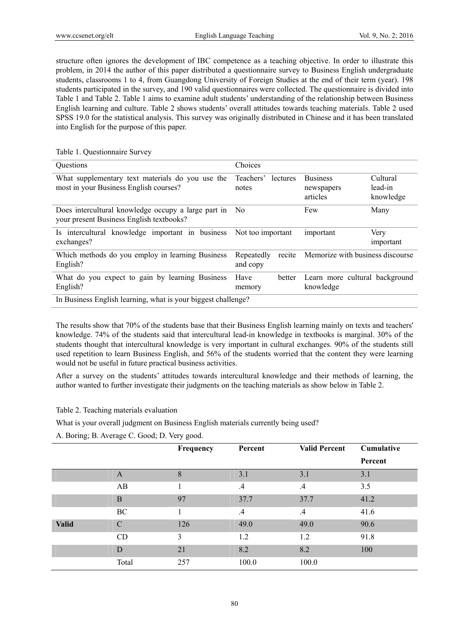structure often ignores the development of IBC competence as a teaching objective. In order to illustrate this problem, in 2014 the author of this paper distributed a questionnaire survey to Business English undergraduate students, classrooms 1 to 4, from Guangdong University of Foreign Studies at the end of their term (year). 198 students participated in the survey, and 190 valid questionnaires were collected. The questionnaire is divided into Table 1 and Table 2. Table 1 aims to examine adult students' understanding of the relationship between Business English learning and culture. Table 2 shows students' overall attitudes towards teaching materials. Table 2 used SPSS 19.0 for the statistical analysis. This survey was originally distributed in Chinese and it has been translated into English for the purpose of this paper.

#### Table 1. Questionnaire Survey

| <b>Ouestions</b>                                                                                | Choices                          |                                             |                                  |  |  |
|-------------------------------------------------------------------------------------------------|----------------------------------|---------------------------------------------|----------------------------------|--|--|
| What supplementary text materials do you use the<br>most in your Business English courses?      | Teachers'<br>lectures<br>notes   | <b>Business</b><br>newspapers<br>articles   | Cultural<br>lead-in<br>knowledge |  |  |
| Does intercultural knowledge occupy a large part in<br>your present Business English textbooks? | - No                             | Few                                         | Many                             |  |  |
| Is intercultural knowledge important in business Not too important<br>exchanges?                |                                  | Very<br>important<br>important              |                                  |  |  |
| Which methods do you employ in learning Business<br>English?                                    | Repeatedly<br>recite<br>and copy | Memorize with business discourse            |                                  |  |  |
| What do you expect to gain by learning Business<br>English?                                     | Have<br>better<br>memory         | Learn more cultural background<br>knowledge |                                  |  |  |
| In Business English learning, what is your biggest challenge?                                   |                                  |                                             |                                  |  |  |

The results show that 70% of the students base that their Business English learning mainly on texts and teachers' knowledge. 74% of the students said that intercultural lead-in knowledge in textbooks is marginal. 30% of the students thought that intercultural knowledge is very important in cultural exchanges. 90% of the students still used repetition to learn Business English, and 56% of the students worried that the content they were learning would not be useful in future practical business activities.

After a survey on the students' attitudes towards intercultural knowledge and their methods of learning, the author wanted to further investigate their judgments on the teaching materials as show below in Table 2.

## Table 2. Teaching materials evaluation

What is your overall judgment on Business English materials currently being used?

A. Boring; B. Average C. Good; D. Very good.

|              |               | Frequency | Percent | <b>Valid Percent</b> | Cumulative |
|--------------|---------------|-----------|---------|----------------------|------------|
|              |               |           |         |                      | Percent    |
|              | A             | 8         | 3.1     | 3.1                  | 3.1        |
|              | AB            |           | $\cdot$ | $\cdot$              | 3.5        |
|              | B             | 97        | 37.7    | 37.7                 | 41.2       |
|              | BC            |           | $.4\,$  | .4                   | 41.6       |
| <b>Valid</b> | $\mathcal{C}$ | 126       | 49.0    | 49.0                 | 90.6       |
|              | CD            | 3         | 1.2     | 1.2                  | 91.8       |
|              | D             | 21        | 8.2     | 8.2                  | 100        |
|              | Total         | 257       | 100.0   | 100.0                |            |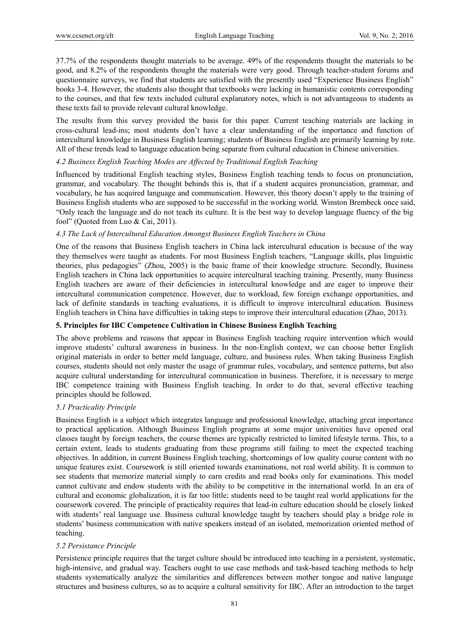37.7% of the respondents thought materials to be average. 49% of the respondents thought the materials to be good, and 8.2% of the respondents thought the materials were very good. Through teacher-student forums and questionnaire surveys, we find that students are satisfied with the presently used "Experience Business English" books 3-4. However, the students also thought that textbooks were lacking in humanistic contents corresponding to the courses, and that few texts included cultural explanatory notes, which is not advantageous to students as these texts fail to provide relevant cultural knowledge.

The results from this survey provided the basis for this paper. Current teaching materials are lacking in cross-cultural lead-ins; most students don't have a clear understanding of the importance and function of intercultural knowledge in Business English learning; students of Business English are primarily learning by rote. All of these trends lead to language education being separate from cultural education in Chinese universities.

# *4.2 Business English Teaching Modes are Affected by Traditional English Teaching*

Influenced by traditional English teaching styles, Business English teaching tends to focus on pronunciation, grammar, and vocabulary. The thought behinds this is, that if a student acquires pronunciation, grammar, and vocabulary, he has acquired language and communication. However, this theory doesn't apply to the training of Business English students who are supposed to be successful in the working world. Winston Brembeck once said, "Only teach the language and do not teach its culture. It is the best way to develop language fluency of the big fool" (Quoted from Luo & Cai, 2011).

# *4.3 The Lack of Intercultural Education Amongst Business English Teachers in China*

One of the reasons that Business English teachers in China lack intercultural education is because of the way they themselves were taught as students. For most Business English teachers, "Language skills, plus linguistic theories, plus pedagogies" (Zhou, 2005) is the basic frame of their knowledge structure. Secondly, Business English teachers in China lack opportunities to acquire intercultural teaching training. Presently, many Business English teachers are aware of their deficiencies in intercultural knowledge and are eager to improve their intercultural communication competence. However, due to workload, few foreign exchange opportunities, and lack of definite standards in teaching evaluations, it is difficult to improve intercultural education. Business English teachers in China have difficulties in taking steps to improve their intercultural education (Zhao, 2013).

# **5. Principles for IBC Competence Cultivation in Chinese Business English Teaching**

The above problems and reasons that appear in Business English teaching require intervention which would improve students' cultural awareness in business. In the non-English context, we can choose better English original materials in order to better meld language, culture, and business rules. When taking Business English courses, students should not only master the usage of grammar rules, vocabulary, and sentence patterns, but also acquire cultural understanding for intercultural communication in business. Therefore, it is necessary to merge IBC competence training with Business English teaching. In order to do that, several effective teaching principles should be followed.

# *5.1 Practicality Principle*

Business English is a subject which integrates language and professional knowledge, attaching great importance to practical application. Although Business English programs at some major universities have opened oral classes taught by foreign teachers, the course themes are typically restricted to limited lifestyle terms. This, to a certain extent, leads to students graduating from these programs still failing to meet the expected teaching objectives. In addition, in current Business English teaching, shortcomings of low quality course content with no unique features exist. Coursework is still oriented towards examinations, not real world ability. It is common to see students that memorize material simply to earn credits and read books only for examinations. This model cannot cultivate and endow students with the ability to be competitive in the international world. In an era of cultural and economic globalization, it is far too little; students need to be taught real world applications for the coursework covered. The principle of practicality requires that lead-in culture education should be closely linked with students' real language use. Business cultural knowledge taught by teachers should play a bridge role in students' business communication with native speakers instead of an isolated, memorization oriented method of teaching.

# *5.2 Persistance Principle*

Persistence principle requires that the target culture should be introduced into teaching in a persistent, systematic, high-intensive, and gradual way. Teachers ought to use case methods and task-based teaching methods to help students systematically analyze the similarities and differences between mother tongue and native language structures and business cultures, so as to acquire a cultural sensitivity for IBC. After an introduction to the target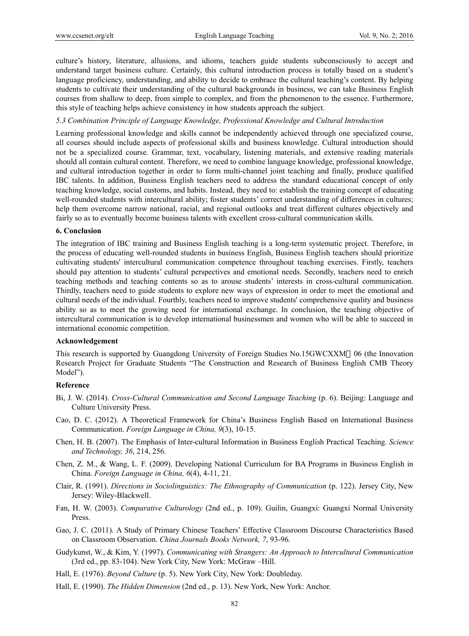culture's history, literature, allusions, and idioms, teachers guide students subconsciously to accept and understand target business culture. Certainly, this cultural introduction process is totally based on a student's language proficiency, understanding, and ability to decide to embrace the cultural teaching's content. By helping students to cultivate their understanding of the cultural backgrounds in business, we can take Business English courses from shallow to deep, from simple to complex, and from the phenomenon to the essence. Furthermore, this style of teaching helps achieve consistency in how students approach the subject.

#### *5.3 Combination Principle of Language Knowledge, Professional Knowledge and Cultural Introduction*

Learning professional knowledge and skills cannot be independently achieved through one specialized course, all courses should include aspects of professional skills and business knowledge. Cultural introduction should not be a specialized course. Grammar, text, vocabulary, listening materials, and extensive reading materials should all contain cultural content. Therefore, we need to combine language knowledge, professional knowledge, and cultural introduction together in order to form multi-channel joint teaching and finally, produce qualified IBC talents. In addition, Business English teachers need to address the standard educational concept of only teaching knowledge, social customs, and habits. Instead, they need to: establish the training concept of educating well-rounded students with intercultural ability; foster students' correct understanding of differences in cultures; help them overcome narrow national, racial, and regional outlooks and treat different cultures objectively and fairly so as to eventually become business talents with excellent cross-cultural communication skills.

## **6. Conclusion**

The integration of IBC training and Business English teaching is a long-term systematic project. Therefore, in the process of educating well-rounded students in business English, Business English teachers should prioritize cultivating students' intercultural communication competence throughout teaching exercises. Firstly, teachers should pay attention to students' cultural perspectives and emotional needs. Secondly, teachers need to enrich teaching methods and teaching contents so as to arouse students' interests in cross-cultural communication. Thirdly, teachers need to guide students to explore new ways of expression in order to meet the emotional and cultural needs of the individual. Fourthly, teachers need to improve students' comprehensive quality and business ability so as to meet the growing need for international exchange. In conclusion, the teaching objective of intercultural communication is to develop international businessmen and women who will be able to succeed in international economic competition.

#### **Acknowledgement**

This research is supported by Guangdong University of Foreign Studies No.15GWCXXM 06 (the Innovation Research Project for Graduate Students "The Construction and Research of Business English CMB Theory Model").

#### **Reference**

- Bi, J. W. (2014). *Cross-Cultural Communication and Second Language Teaching* (p. 6). Beijing: Language and Culture University Press.
- Cao, D. C. (2012). A Theoretical Framework for China's Business English Based on International Business Communication. *Foreign Language in China, 9*(3), 10-15.
- Chen, H. B. (2007). The Emphasis of Inter-cultural Information in Business English Practical Teaching. *Science and Technology, 36*, 214, 256.
- Chen, Z. M., & Wang, L. F. (2009). Developing National Curriculum for BA Programs in Business English in China. *Foreign Language in China, 6*(4), 4-11, 21.
- Clair, R. (1991). *Directions in Sociolinguistics: The Ethnography of Communication* (p. 122). Jersey City, New Jersey: Wiley-Blackwell.
- Fan, H. W. (2003). *Comparative Culturology* (2nd ed., p. 109). Guilin, Guangxi: Guangxi Normal University Press.
- Gao, J. C. (2011). A Study of Primary Chinese Teachers' Effective Classroom Discourse Characteristics Based on Classroom Observation. *China Journals Books Network, 7*, 93-96.
- Gudykunst, W., & Kim, Y. (1997). *Communicating with Strangers: An Approach to Intercultural Communication* (3rd ed., pp. 83-104). New York City, New York: McGraw –Hill.
- Hall, E. (1976). *Beyond Culture* (p. 5). New York City, New York: Doubleday.
- Hall, E. (1990). *The Hidden Dimension* (2nd ed., p. 13). New York, New York: Anchor.